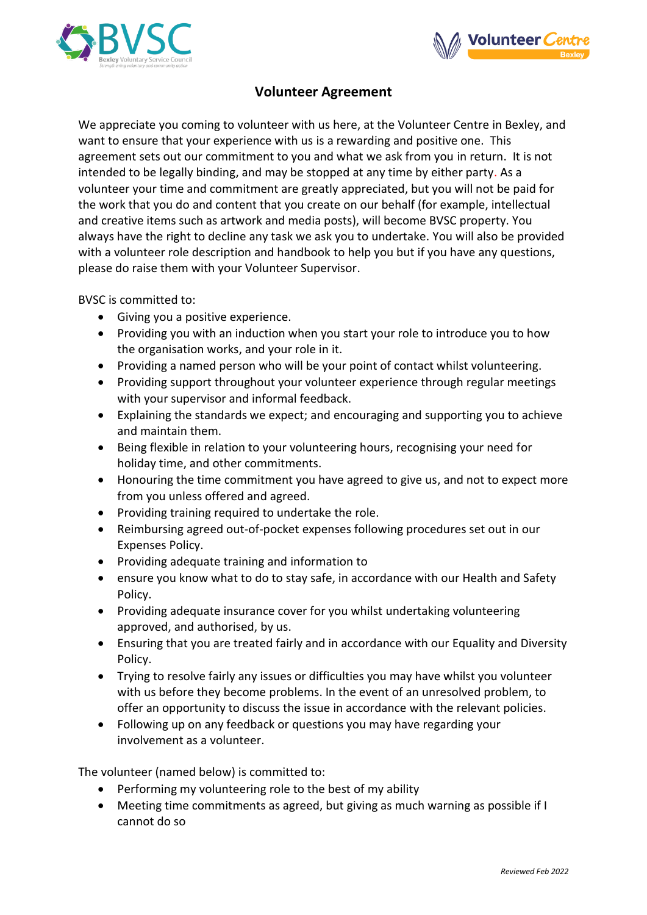



## **Volunteer Agreement**

We appreciate you coming to volunteer with us here, at the Volunteer Centre in Bexley, and want to ensure that your experience with us is a rewarding and positive one. This agreement sets out our commitment to you and what we ask from you in return. It is not intended to be legally binding, and may be stopped at any time by either party. As a volunteer your time and commitment are greatly appreciated, but you will not be paid for the work that you do and content that you create on our behalf (for example, intellectual and creative items such as artwork and media posts), will become BVSC property. You always have the right to decline any task we ask you to undertake. You will also be provided with a volunteer role description and handbook to help you but if you have any questions, please do raise them with your Volunteer Supervisor.

BVSC is committed to:

- Giving you a positive experience.
- Providing you with an induction when you start your role to introduce you to how the organisation works, and your role in it.
- Providing a named person who will be your point of contact whilst volunteering.
- Providing support throughout your volunteer experience through regular meetings with your supervisor and informal feedback.
- Explaining the standards we expect; and encouraging and supporting you to achieve and maintain them.
- Being flexible in relation to your volunteering hours, recognising your need for holiday time, and other commitments.
- Honouring the time commitment you have agreed to give us, and not to expect more from you unless offered and agreed.
- Providing training required to undertake the role.
- Reimbursing agreed out-of-pocket expenses following procedures set out in our Expenses Policy.
- Providing adequate training and information to
- ensure you know what to do to stay safe, in accordance with our Health and Safety Policy.
- Providing adequate insurance cover for you whilst undertaking volunteering approved, and authorised, by us.
- Ensuring that you are treated fairly and in accordance with our Equality and Diversity Policy.
- Trying to resolve fairly any issues or difficulties you may have whilst you volunteer with us before they become problems. In the event of an unresolved problem, to offer an opportunity to discuss the issue in accordance with the relevant policies.
- Following up on any feedback or questions you may have regarding your involvement as a volunteer.

The volunteer (named below) is committed to:

- Performing my volunteering role to the best of my ability
- Meeting time commitments as agreed, but giving as much warning as possible if I cannot do so